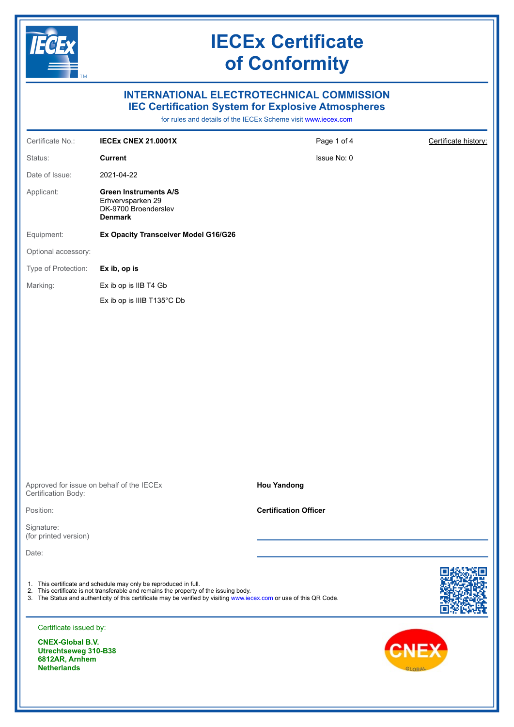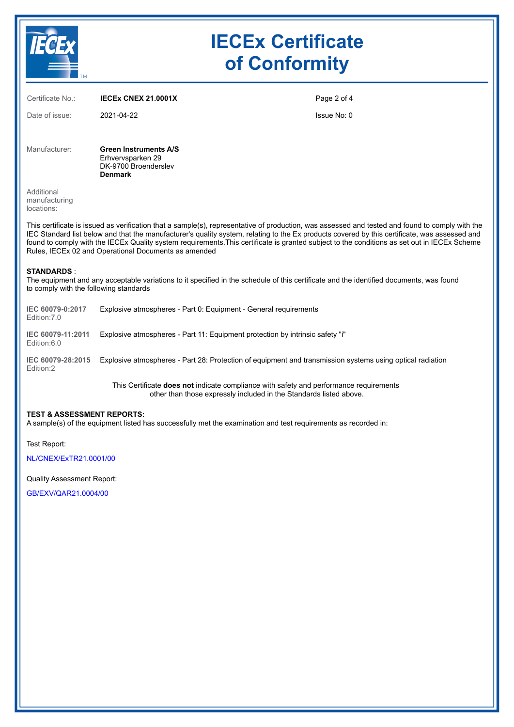|                                                                                                                                                                                                                                                                                                                                                                                                                                                                                                          | <b>IECEx Certificate</b><br>of Conformity                                                                 |             |  |  |  |  |  |
|----------------------------------------------------------------------------------------------------------------------------------------------------------------------------------------------------------------------------------------------------------------------------------------------------------------------------------------------------------------------------------------------------------------------------------------------------------------------------------------------------------|-----------------------------------------------------------------------------------------------------------|-------------|--|--|--|--|--|
| Certificate No.:                                                                                                                                                                                                                                                                                                                                                                                                                                                                                         | <b>IECEX CNEX 21,0001X</b>                                                                                | Page 2 of 4 |  |  |  |  |  |
| Date of issue:                                                                                                                                                                                                                                                                                                                                                                                                                                                                                           | 2021-04-22                                                                                                | Issue No: 0 |  |  |  |  |  |
| Manufacturer:                                                                                                                                                                                                                                                                                                                                                                                                                                                                                            | <b>Green Instruments A/S</b><br>Erhvervsparken 29<br>DK-9700 Broenderslev<br><b>Denmark</b>               |             |  |  |  |  |  |
| Additional<br>manufacturing<br>locations:                                                                                                                                                                                                                                                                                                                                                                                                                                                                |                                                                                                           |             |  |  |  |  |  |
| This certificate is issued as verification that a sample(s), representative of production, was assessed and tested and found to comply with the<br>IEC Standard list below and that the manufacturer's quality system, relating to the Ex products covered by this certificate, was assessed and<br>found to comply with the IECEx Quality system requirements. This certificate is granted subject to the conditions as set out in IECEx Scheme<br>Rules, IECEx 02 and Operational Documents as amended |                                                                                                           |             |  |  |  |  |  |
| <b>STANDARDS:</b><br>The equipment and any acceptable variations to it specified in the schedule of this certificate and the identified documents, was found<br>to comply with the following standards                                                                                                                                                                                                                                                                                                   |                                                                                                           |             |  |  |  |  |  |
| IEC 60079-0:2017<br>Edition: 7.0                                                                                                                                                                                                                                                                                                                                                                                                                                                                         | Explosive atmospheres - Part 0: Equipment - General requirements                                          |             |  |  |  |  |  |
| IEC 60079-11:2011<br>Edition:6.0                                                                                                                                                                                                                                                                                                                                                                                                                                                                         | Explosive atmospheres - Part 11: Equipment protection by intrinsic safety "i"                             |             |  |  |  |  |  |
| IEC 60079-28:2015<br>Edition:2                                                                                                                                                                                                                                                                                                                                                                                                                                                                           | Explosive atmospheres - Part 28: Protection of equipment and transmission systems using optical radiation |             |  |  |  |  |  |

This Certificate **does not** indicate compliance with safety and performance requirements other than those expressly included in the Standards listed above.

#### **TEST & ASSESSMENT REPORTS:**

A sample(s) of the equipment listed has successfully met the examination and test requirements as recorded in:

Test Report:

NL/CNEX/ExTR21.0001/00

Quality Assessment Report:

GB/EXV/QAR21.0004/00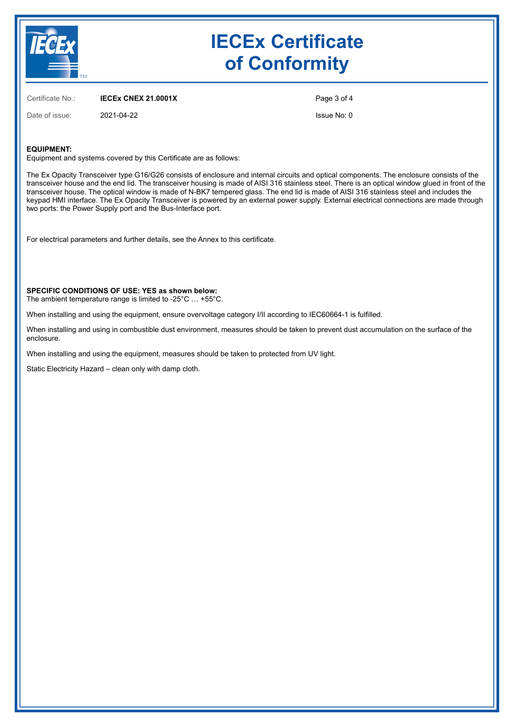

# **IECEx Certificate of Conformity**

Certificate No.: **IECEx CNEX 21.0001X**

Page 3 of 4

Date of issue: 2021-04-22

Issue No: 0

### **EQUIPMENT:**

Equipment and systems covered by this Certificate are as follows:

The Ex Opacity Transceiver type G16/G26 consists of enclosure and internal circuits and optical components. The enclosure consists of the transceiver house and the end lid. The transceiver housing is made of AISI 316 stainless steel. There is an optical window glued in front of the transceiver house. The optical window is made of N-BK7 tempered glass. The end lid is made of AISI 316 stainless steel and includes the keypad HMI interface. The Ex Opacity Transceiver is powered by an external power supply. External electrical connections are made through two ports: the Power Supply port and the Bus-Interface port.

For electrical parameters and further details, see the Annex to this certificate.

**SPECIFIC CONDITIONS OF USE: YES as shown below:**

The ambient temperature range is limited to -25°C … +55°C.

When installing and using the equipment, ensure overvoltage category I/II according to IEC60664-1 is fulfilled.

When installing and using in combustible dust environment, measures should be taken to prevent dust accumulation on the surface of the enclosure.

When installing and using the equipment, measures should be taken to protected from UV light.

Static Electricity Hazard – clean only with damp cloth.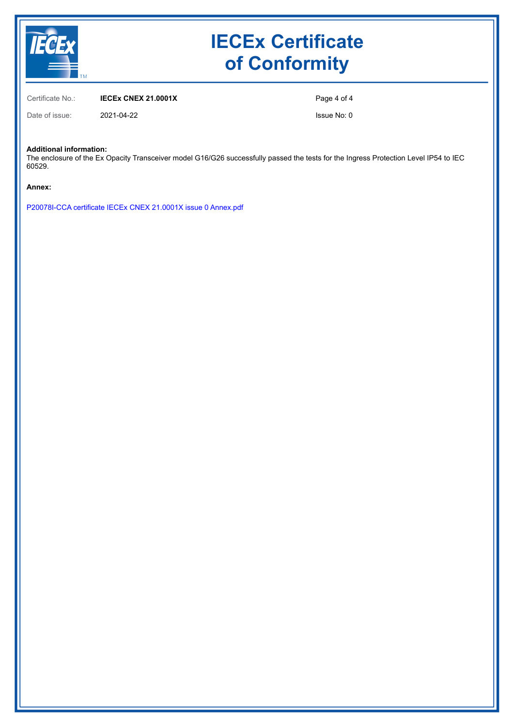

# **IECEx Certificate of Conformity**

Certificate No.: **IECEx CNEX 21.0001X**

Date of issue: 2021-04-22

Page 4 of 4

Issue No: 0

**Additional information:**

The enclosure of the Ex Opacity Transceiver model G16/G26 successfully passed the tests for the Ingress Protection Level IP54 to IEC 60529.

**Annex:**

P20078I-CCA certificate IECEx CNEX 21.0001X issue 0 Annex.pdf